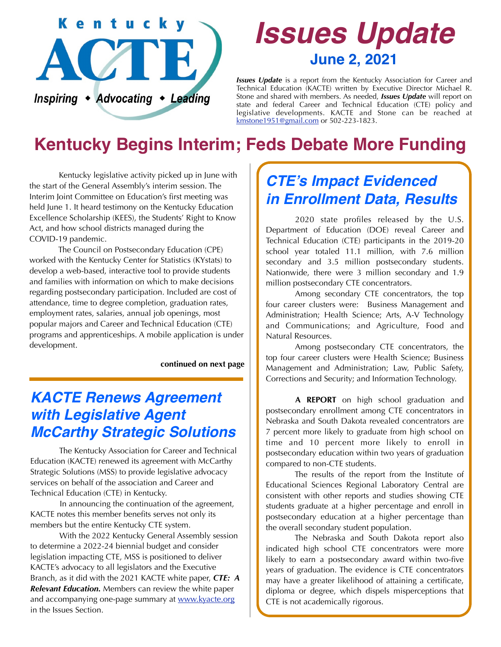

# *Issues Update* **June 2, 2021**

*Issues Update* is a report from the Kentucky Association for Career and Technical Education (KACTE) written by Executive Director Michael R. Stone and shared with members. As needed, *Issues Update* will report on state and federal Career and Technical Education (CTE) policy and legislative developments. KACTE and Stone can be reached at [kmstone1951@gmail.com](mailto:kmstone1951@gmail.com) or 502-223-1823.

# **Kentucky Begins Interim; Feds Debate More Funding**

 Kentucky legislative activity picked up in June with the start of the General Assembly's interim session. The Interim Joint Committee on Education's first meeting was held June 1. It heard testimony on the Kentucky Education Excellence Scholarship (KEES), the Students' Right to Know Act, and how school districts managed during the COVID-19 pandemic.

 The Council on Postsecondary Education (CPE) worked with the Kentucky Center for Statistics (KYstats) to develop a web-based, interactive tool to provide students and families with information on which to make decisions regarding postsecondary participation. Included are cost of attendance, time to degree completion, graduation rates, employment rates, salaries, annual job openings, most popular majors and Career and Technical Education (CTE) programs and apprenticeships. A mobile application is under development.

#### **continued on next page**

#### *KACTE Renews Agreement with Legislative Agent McCarthy Strategic Solutions*

 The Kentucky Association for Career and Technical Education (KACTE) renewed its agreement with McCarthy Strategic Solutions (MSS) to provide legislative advocacy services on behalf of the association and Career and Technical Education (CTE) in Kentucky.

 In announcing the continuation of the agreement, KACTE notes this member benefits serves not only its members but the entire Kentucky CTE system.

 With the 2022 Kentucky General Assembly session to determine a 2022-24 biennial budget and consider legislation impacting CTE, MSS is positioned to deliver KACTE's advocacy to all legislators and the Executive Branch, as it did with the 2021 KACTE white paper, *CTE: A Relevant Education.* Members can review the white paper and accompanying one-page summary at [www.kyacte.org](http://www.kyacte.org) in the Issues Section.

### *CTE's Impact Evidenced in Enrollment Data, Results*

 2020 state profiles released by the U.S. Department of Education (DOE) reveal Career and Technical Education (CTE) participants in the 2019-20 school year totaled 11.1 million, with 7.6 million secondary and 3.5 million postsecondary students. Nationwide, there were 3 million secondary and 1.9 million postsecondary CTE concentrators.

 Among secondary CTE concentrators, the top four career clusters were: Business Management and Administration; Health Science; Arts, A-V Technology and Communications; and Agriculture, Food and Natural Resources.

 Among postsecondary CTE concentrators, the top four career clusters were Health Science; Business Management and Administration; Law, Public Safety, Corrections and Security; and Information Technology.

**A REPORT** on high school graduation and postsecondary enrollment among CTE concentrators in Nebraska and South Dakota revealed concentrators are 7 percent more likely to graduate from high school on time and 10 percent more likely to enroll in postsecondary education within two years of graduation compared to non-CTE students.

 The results of the report from the Institute of Educational Sciences Regional Laboratory Central are consistent with other reports and studies showing CTE students graduate at a higher percentage and enroll in postsecondary education at a higher percentage than the overall secondary student population.

 The Nebraska and South Dakota report also indicated high school CTE concentrators were more likely to earn a postsecondary award within two-five years of graduation. The evidence is CTE concentrators may have a greater likelihood of attaining a certificate, diploma or degree, which dispels misperceptions that CTE is not academically rigorous.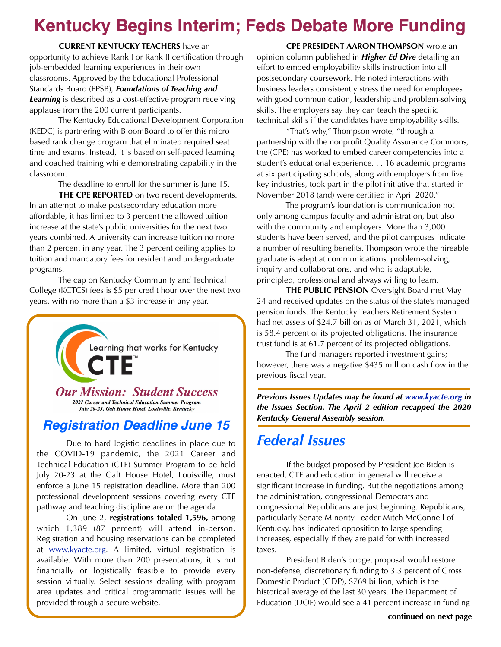# **Kentucky Begins Interim; Feds Debate More Funding**

**CURRENT KENTUCKY TEACHERS** have an opportunity to achieve Rank I or Rank II certification through job-embedded learning experiences in their own classrooms. Approved by the Educational Professional Standards Board (EPSB), *Foundations of Teaching and Learning* is described as a cost-effective program receiving applause from the 200 current participants.

 The Kentucky Educational Development Corporation (KEDC) is partnering with BloomBoard to offer this microbased rank change program that eliminated required seat time and exams. Instead, it is based on self-paced learning and coached training while demonstrating capability in the classroom.

The deadline to enroll for the summer is June 15.

**THE CPE REPORTED** on two recent developments. In an attempt to make postsecondary education more affordable, it has limited to 3 percent the allowed tuition increase at the state's public universities for the next two years combined. A university can increase tuition no more than 2 percent in any year. The 3 percent ceiling applies to tuition and mandatory fees for resident and undergraduate programs.

 The cap on Kentucky Community and Technical College (KCTCS) fees is \$5 per credit hour over the next two years, with no more than a \$3 increase in any year.



#### *Registration Deadline June 15*

 Due to hard logistic deadlines in place due to the COVID-19 pandemic, the 2021 Career and Technical Education (CTE) Summer Program to be held July 20-23 at the Galt House Hotel, Louisville, must enforce a June 15 registration deadline. More than 200 professional development sessions covering every CTE pathway and teaching discipline are on the agenda.

 On June 2, **registrations totaled 1,596,** among which 1,389 (87 percent) will attend in-person. Registration and housing reservations can be completed at www.kyacte.org. A limited, virtual registration is available. With more than 200 presentations, it is not financially or logistically feasible to provide every session virtually. Select sessions dealing with program area updates and critical programmatic issues will be provided through a secure website.

**CPE PRESIDENT AARON THOMPSON** wrote an opinion column published in *Higher Ed Dive* detailing an effort to embed employability skills instruction into all postsecondary coursework. He noted interactions with business leaders consistently stress the need for employees with good communication, leadership and problem-solving skills. The employers say they can teach the specific technical skills if the candidates have employability skills.

 "That's why," Thompson wrote, "through a partnership with the nonprofit Quality Assurance Commons, the (CPE) has worked to embed career competencies into a student's educational experience. . . 16 academic programs at six participating schools, along with employers from five key industries, took part in the pilot initiative that started in November 2018 (and) were certified in April 2020."

 The program's foundation is communication not only among campus faculty and administration, but also with the community and employers. More than 3,000 students have been served, and the pilot campuses indicate a number of resulting benefits. Thompson wrote the hireable graduate is adept at communications, problem-solving, inquiry and collaborations, and who is adaptable, principled, professional and always willing to learn.

**THE PUBLIC PENSION** Oversight Board met May 24 and received updates on the status of the state's managed pension funds. The Kentucky Teachers Retirement System had net assets of \$24.7 billion as of March 31, 2021, which is 58.4 percent of its projected obligations. The insurance trust fund is at 61.7 percent of its projected obligations.

 The fund managers reported investment gains; however, there was a negative \$435 million cash flow in the previous fiscal year.

*Previous Issues Updates may be found at [www.kyacte.org](http://www.kyacte.org) in the Issues Section. The April 2 edition recapped the 2020 Kentucky General Assembly session.*

#### *Federal Issues*

 If the budget proposed by President Joe Biden is enacted, CTE and education in general will receive a significant increase in funding. But the negotiations among the administration, congressional Democrats and congressional Republicans are just beginning. Republicans, particularly Senate Minority Leader Mitch McConnell of Kentucky, has indicated opposition to large spending increases, especially if they are paid for with increased taxes.

 President Biden's budget proposal would restore non-defense, discretionary funding to 3.3 percent of Gross Domestic Product (GDP), \$769 billion, which is the historical average of the last 30 years. The Department of Education (DOE) would see a 41 percent increase in funding